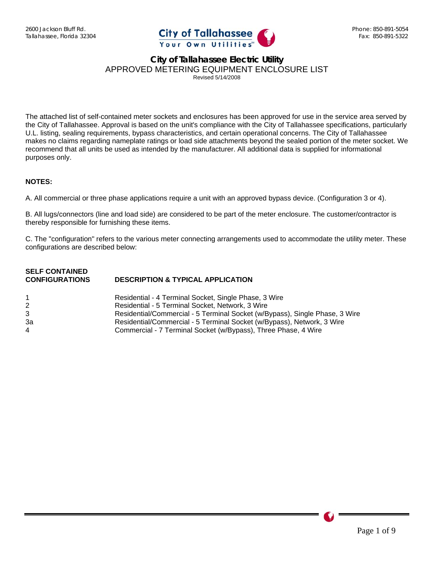

The attached list of self-contained meter sockets and enclosures has been approved for use in the service area served by the City of Tallahassee. Approval is based on the unit's compliance with the City of Tallahassee specifications, particularly U.L. listing, sealing requirements, bypass characteristics, and certain operational concerns. The City of Tallahassee makes no claims regarding nameplate ratings or load side attachments beyond the sealed portion of the meter socket. We recommend that all units be used as intended by the manufacturer. All additional data is supplied for informational purposes only.

#### **NOTES:**

A. All commercial or three phase applications require a unit with an approved bypass device. (Configuration 3 or 4).

B. All lugs/connectors (line and load side) are considered to be part of the meter enclosure. The customer/contractor is thereby responsible for furnishing these items.

C. The "configuration" refers to the various meter connecting arrangements used to accommodate the utility meter. These configurations are described below:

| <b>SELF CONTAINED</b> |                                              |
|-----------------------|----------------------------------------------|
| <b>CONFIGURATIONS</b> | <b>DESCRIPTION &amp; TYPICAL APPLICATION</b> |

|    | Residential - 4 Terminal Socket, Single Phase, 3 Wire                       |
|----|-----------------------------------------------------------------------------|
|    | Residential - 5 Terminal Socket, Network, 3 Wire                            |
|    | Residential/Commercial - 5 Terminal Socket (w/Bypass), Single Phase, 3 Wire |
| За | Residential/Commercial - 5 Terminal Socket (w/Bypass), Network, 3 Wire      |
| 4  | Commercial - 7 Terminal Socket (w/Bypass), Three Phase, 4 Wire              |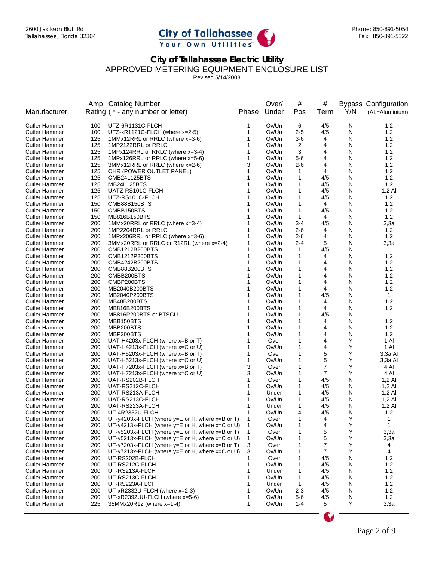

Revised 5/14/2008

|                                              |            | Amp Catalog Number                                            |              | Over/          | #              | #              |        | <b>Bypass Configuration</b> |
|----------------------------------------------|------------|---------------------------------------------------------------|--------------|----------------|----------------|----------------|--------|-----------------------------|
| Manufacturer                                 |            | Rating (* - any number or letter)                             | Phase        | Under          | Pos            | Term           | Y/N    | (AL=Aluminium)              |
| Cutler Hammer                                | 100        | UTZ-6R1131C-FLCH                                              | 1            | Ov/Un          | 6              | 4/5            | N      | 1,2                         |
| Cutler Hammer                                | 100        | UTZ-xR1121C-FLCH (where x=2-5)                                | 1            | Ov/Un          | $2 - 5$        | 4/5            | N      | 1,2                         |
| Cutler Hammer                                | 125        | 1MMx12RRL or RRLC (where x=3-6)                               | 1            | Ov/Un          | $3-6$          | 4              | N      | 1,2                         |
| Cutler Hammer                                | 125        | 1MP2122RRL or RRLC                                            | 1            | Ov/Un          | 2              | 4              | N      | 1,2                         |
| Cutler Hammer                                | 125        | 1MPx124RRL or RRLC (where x=3-4)                              | 1            | Ov/Un          | 3              | 4              | N      | 1,2                         |
| Cutler Hammer                                | 125        | 1MPx126RRL or RRLC (where x=5-6)                              | 1            | Ov/Un          | $5-6$          | 4              | N      | 1,2                         |
| Cutler Hammer                                | 125        | 3MMx12RRL or RRLC (where x=2-6)                               | 3            | Ov/Un          | $2 - 6$        | 4              | N      | 1,2                         |
| <b>Cutler Hammer</b>                         | 125        | CHR (POWER OUTLET PANEL)                                      | 1            | Ov/Un          | 1              | 4              | N      | 1,2                         |
| Cutler Hammer                                | 125        | CMB24L125BTS                                                  | 1            | Ov/Un          | 1              | 4/5            | N      | 1,2                         |
| Cutler Hammer                                | 125        | MB24L125BTS                                                   |              | Ov/Un          | 1              | 4/5            | N      | 1,2                         |
| <b>Cutler Hammer</b><br><b>Cutler Hammer</b> | 125        | UATZ-RS101C-FLCH                                              | 1            | Ov/Un          | 1              | 4/5            | N<br>N | $1,2$ Al                    |
| Cutler Hammer                                | 125<br>150 | UTZ-RS101C-FLCH<br>CMB88B150BTS                               |              | Ov/Un<br>Ov/Un | 1<br>1         | 4/5<br>4       | N      | 1,2<br>1,2                  |
| Cutler Hammer                                | 150        | CMBB150BTS                                                    | 1            | Ov/Un          | 1              | 4/5            | N      | 1,2                         |
| Cutler Hammer                                | 150        | MB816B150BTS                                                  | 1            | Ov/Un          | 1              | 4              | N      | 1,2                         |
| Cutler Hammer                                | 200        | 1MMx20RRL or RRLC (where x=3-4)                               | 1            | Ov/Un          | $3 - 4$        | 4/5            | N      | 3,3а                        |
| <b>Cutler Hammer</b>                         | 200        | 1MP2204RRL or RRLC                                            | 1            | Ov/Un          | $2 - 6$        | 4              | N      | 1,2                         |
| Cutler Hammer                                | 200        | 1MPx206RRL or RRLC (where x=3-6)                              | 1            | Ov/Un          | $2 - 6$        | 4              | N      | 1,2                         |
| <b>Cutler Hammer</b>                         | 200        | 3MMx20RRL or RRLC or R12RL (where x=2-4)                      | 1            | Ov/Un          | $2 - 4$        | 5              | N      | 3,3a                        |
| Cutler Hammer                                | 200        | CMB1212B200BTS                                                | 1            | Ov/Un          | $\mathbf{1}$   | 4/5            | N      | $\mathbf{1}$                |
| Cutler Hammer                                | 200        | CMB1212P200BTS                                                | 1            | Ov/Un          | 1              | 4              | N      | 1,2                         |
| <b>Cutler Hammer</b>                         | 200        | CMB4242B200BTS                                                | 1            | Ov/Un          | 1              | 4              | N      | 1,2                         |
| <b>Cutler Hammer</b>                         | 200        | CMB88B200BTS                                                  |              | Ov/Un          | 1              | 4              | N      | 1,2                         |
| <b>Cutler Hammer</b>                         | 200        | CMBB200BTS                                                    |              | Ov/Un          | 1              | 4              | N      | 1,2                         |
| Cutler Hammer                                | 200        | CMBP200BTS                                                    |              | Ov/Un          | 1              | 4              | N      | 1,2                         |
| Cutler Hammer                                | 200        | MB2040B200BTS                                                 |              | Ov/Un          | 1              | 4              | N      | 1,2                         |
| <b>Cutler Hammer</b>                         | 200        | MB2040P200BTS                                                 |              | Ov/Un          | 1              | 4/5            | N      | $\mathbf{1}$                |
| Cutler Hammer                                | 200        | MB48B200BTS                                                   |              | Ov/Un          | 1              | 4              | N      | 1,2                         |
| Cutler Hammer                                | 200        | MB816B200BTS                                                  | 1            | Ov/Un          | 1              | 4              | N      | 1,2                         |
| Cutler Hammer                                | 200        | MB816P200BTS or BTSCU                                         | 1            | Ov/Un          | 1              | 4/5            | N      | $\mathbf{1}$                |
| Cutler Hammer                                | 200        | MBB150BTS                                                     | 1            | Ov/Un          | 1              | 4              | N      | 1,2                         |
| Cutler Hammer                                | 200        | MBB200BTS                                                     | 1            | Ov/Un          | 1              | 4              | N      | 1,2                         |
| Cutler Hammer                                | 200<br>200 | MBP200BTS<br>UAT-H4203x-FLCH (where x=B or T)                 | 1            | Ov/Un          | 1<br>1         | 4<br>4         | N<br>Υ | 1,2                         |
| Cutler Hammer<br>Cutler Hammer               | 200        | UAT-H4213x-FLCH (where x=C or U)                              | 1            | Over<br>Ov/Un  | 1              | 4              | Υ      | 1 Al<br>1 AI                |
| Cutler Hammer                                | 200        | UAT-H5203x-FLCH (where x=B or T)                              | 1            | Over           | 1              | 5              | Υ      | 3,3a Al                     |
| Cutler Hammer                                | 200        | UAT-H5213x-FLCH (where x=C or U)                              | 1            | Ov/Un          | 1              | 5              | Υ      | 3,3a Al                     |
| Cutler Hammer                                | 200        | UAT-H7203x-FLCH (where x=B or T)                              | 3            | Over           | 1              | 7              | Υ      | 4 Al                        |
| <b>Cutler Hammer</b>                         | 200        | UAT-H7213x-FLCH (where $x=0$ or U)                            | 3            | Ov/Un          | 1              | 7              | Υ      | 4 Al                        |
| <b>Cutler Hammer</b>                         | 200        | UAT-RS202B-FLCH                                               | 1            | Over           | 1              | 4/5            | N      | $1,2 \text{ Al}$            |
| Cutler Hammer                                | 200        | UAT-RS212C-FLCH                                               |              | Ov/Un          | 1              | 4/5            | N      | $1,2$ Al                    |
| Cutler Hammer                                | 200        | UAT-RS213A-FLCH                                               | 1            | Under          | 1              | 4/5            | N      | $1,2 \text{ Al}$            |
| Cutler Hammer                                | 200        | UAT-RS213C-FLCH                                               |              | Ov/Un          | 1              | 4/5            | N      | $1,2$ Al                    |
| Cutler Hammer                                | 200        | UAT-RS223A-FLCH                                               |              | Under          | 1              | 4/5            | N      | $1,2$ Al                    |
| Cutler Hammer                                | 200        | UT-4R2352U-FLCH                                               | 1            | Ov/Un          | 4              | 4/5            | N      | 1,2                         |
| <b>Cutler Hammer</b>                         | 200        | UT-y4203x-FLCH (where y=E or H, where x=B or T)               |              | Over           |                | $\Lambda$      | Υ      | 1                           |
| Cutler Hammer                                | 200        | UT-y4213x-FLCH (where y=E or H, where x=C or U)               | $\mathbf{1}$ | Ov/Un          | 1              | 4              | Υ      | $\mathbf{1}$                |
| <b>Cutler Hammer</b>                         | 200        | UT-y5203x-FLCH (where $y=E$ or H, where $x=$ B or T)          | 1            | Over           | 1              | 5              | Υ      | 3,3a                        |
| Cutler Hammer                                | 200        | UT-y5213x-FLCH (where y=E or H, where x=C or U)               | $\mathbf{1}$ | Ov/Un          | 1              | 5              | Υ      | 3,3a                        |
| <b>Cutler Hammer</b>                         | 200        | UT-y7203x-FLCH (where y=E or H, where x=B or T)               | 3            | Over           | 1              | 7              | Υ      | 4                           |
| <b>Cutler Hammer</b>                         | 200        | UT-y7213x-FLCH (where $y = E$ or H, where $x = C$ or U)       | 3            | Ov/Un          | 1              | $\overline{7}$ | Y      | 4                           |
| Cutler Hammer                                | 200        | UT-RS202B-FLCH                                                | 1            | Over           | 1              | 4/5            | N      | 1,2                         |
| <b>Cutler Hammer</b>                         | 200        | UT-RS212C-FLCH                                                | 1            | Ov/Un          | 1              | 4/5            | N      | 1,2                         |
| Cutler Hammer                                | 200        | UT-RS213A-FLCH                                                | 1            | Under          | 1              | 4/5            | N      | 1,2                         |
| Cutler Hammer                                | 200        | UT-RS213C-FLCH                                                |              | Ov/Un          | 1              | 4/5            | N      | 1,2                         |
| Cutler Hammer                                | 200        | UT-RS223A-FLCH                                                |              | Under          | $\mathbf 1$    | 4/5            | N      | 1,2                         |
| Cutler Hammer                                | 200        | UT-xR2332U-FLCH (where $x=2-3$ )                              |              | Ov/Un          | $2 - 3$        | 4/5            | N      | 1,2                         |
| Cutler Hammer<br><b>Cutler Hammer</b>        | 200<br>225 | UT-xR2392UU-FLCH (where $x=5-6$ )<br>35MMx20R12 (where x=1-4) | 1            | Ov/Un<br>Ov/Un | 5-6<br>$1 - 4$ | 4/5<br>5       | N<br>Υ | 1,2                         |
|                                              |            |                                                               |              |                |                |                |        | 3,3a                        |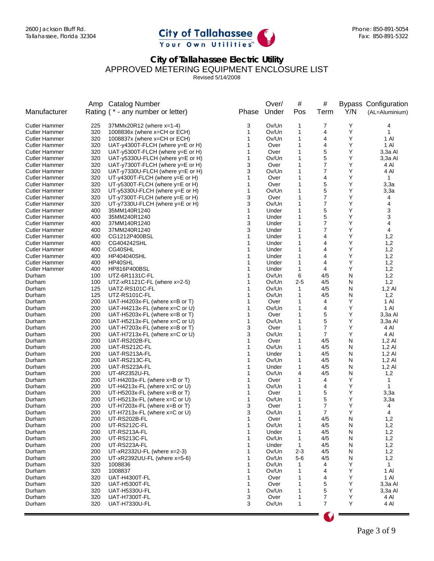

Revised 5/14/2008

|                      |            | Amp Catalog Number                                |        | Over/          | #            | #              |           | <b>Bypass Configuration</b> |
|----------------------|------------|---------------------------------------------------|--------|----------------|--------------|----------------|-----------|-----------------------------|
| Manufacturer         |            | Rating (* - any number or letter)                 | Phase  | Under          | Pos          | Term           | Y/N       | (AL=Aluminium)              |
| <b>Cutler Hammer</b> | 225        | 37MMx20R12 (where x=1-4)                          | 3      | Ov/Un          | 1            | 7              | Υ         | 4                           |
| <b>Cutler Hammer</b> | 320        | 1008836x (where x=CH or ECH)                      | 1      | Ov/Un          | 1            | 4              | Υ         | $\mathbf{1}$                |
| <b>Cutler Hammer</b> | 320        | 1008837x (where x=CH or ECH)                      | 1      | Ov/Un          | 1            | 4              | Y         | 1 Al                        |
| <b>Cutler Hammer</b> | 320        | UAT-y4300T-FLCH (where y=E or H)                  | 1      | Over           | 1            | 4              | Y         | 1 Al                        |
| <b>Cutler Hammer</b> | 320        | UAT- $y5300T$ -FLCH (where $y=E$ or H)            | 1      | Over           | 1            | 5              | Υ         | 3,3a Al                     |
| <b>Cutler Hammer</b> | 320        | UAT-y5330U-FLCH (where y=E or H)                  | 1      | Ov/Un          | 1            | 5              | Y         | 3,3a Al                     |
| <b>Cutler Hammer</b> | 320        | UAT-y7300T-FLCH (where y=E or H)                  | 3      | Over           | 1            | 7              | Y         | 4 Al                        |
| <b>Cutler Hammer</b> | 320        | UAT-y7330U-FLCH (where y=E or H)                  | 3      | Ov/Un          | 1            | 7              | Y         | 4 Al                        |
| <b>Cutler Hammer</b> | 320        | UT-y4300T-FLCH (where y=E or H)                   | 1      | Over           | 1            | 4              | Y         | $\mathbf{1}$                |
| <b>Cutler Hammer</b> | 320        | UT-y5300T-FLCH (where y=E or H)                   | 1      | Over           | 1            | 5              | Υ         | 3,3a                        |
| <b>Cutler Hammer</b> | 320        | UT-y5330U-FLCH (where y=E or H)                   | 1      | Ov/Un          | 1            | 5              | Υ         | 3,3a                        |
| <b>Cutler Hammer</b> | 320        | UT-y7300T-FLCH (where y=E or H)                   | 3      | Over           | 1            | 7              | Υ         | 4                           |
| <b>Cutler Hammer</b> | 320        | UT-y7330U-FLCH (where y=E or H)                   | 3      | Ov/Un          | 1            | 7              | Υ         | 4                           |
| <b>Cutler Hammer</b> | 400        | 35MM140R1240                                      | 1      | Under          | 1            | 5              | Y         | 3                           |
| <b>Cutler Hammer</b> | 400        | 35MM240R1240                                      | 1      | Under          | 1            | 5              | Y         | 3                           |
| <b>Cutler Hammer</b> | 400        | 37MM140R1240                                      | 3      | Under          | 1            | 7              | Y         | 4                           |
| <b>Cutler Hammer</b> | 400        | 37MM240R1240                                      | 3      | Under          |              | 7              | Y         | 4                           |
| <b>Cutler Hammer</b> | 400        | CG1212P400BSL                                     | 1      | Under          | 1            | 4              | Y         | 1,2                         |
| <b>Cutler Hammer</b> | 400        | CG404242SHL                                       | 1      | Under          | 1            | 4              | Y         | 1,2                         |
| <b>Cutler Hammer</b> | 400        | CG40SHL                                           | 1      | Under          | 1            | 4              | Υ         | 1,2                         |
| <b>Cutler Hammer</b> | 400        | <b>HP404040SHL</b>                                | 1      | Under          | 1            | 4              | Y         | 1,2                         |
| <b>Cutler Hammer</b> | 400        | HP40SHL                                           | 1      | Under          | 1            | 4              | Y         | 1,2                         |
| <b>Cutler Hammer</b> | 400        | HP816P400BSL                                      | 1<br>1 | Under          | 1            | 4              | Y         | 1,2                         |
| Durham               | 100<br>100 | UTZ-6R1131C-FL                                    | 1      | Ov/Un<br>Ov/Un | 6<br>$2 - 5$ | 4/5<br>4/5     | N<br>N    | 1,2<br>1,2                  |
| Durham<br>Durham     | 125        | UTZ-xR1121C-FL (where $x=2-5$ )<br>UATZ-RS101C-FL | 1      | Ov/Un          | 1            | 4/5            | N         | $1,2$ Al                    |
| Durham               | 125        | UTZ-RS101C-FL                                     | 1      | Ov/Un          | 1            | 4/5            | N         | 1,2                         |
| Durham               | 200        | UAT-H4203x-FL (where x=B or T)                    | 1      | Over           | 1            | 4              | Υ         | 1 AI                        |
| Durham               | 200        | UAT-H4213x-FL (where x=C or U)                    | 1      | Ov/Un          | 1            | 4              | Y         | 1 Al                        |
| Durham               | 200        | UAT-H5203x-FL (where $x=$ B or T)                 | 1      | Over           | 1            | 5              | Y         | 3,3a Al                     |
| Durham               | 200        | UAT-H5213x-FL (where x=C or U)                    | 1      | Ov/Un          | 1            | 5              | Υ         | 3,3a Al                     |
| Durham               | 200        | UAT-H7203x-FL (where x=B or T)                    | 3      | Over           | 1            | 7              | Υ         | 4 Al                        |
| Durham               | 200        | UAT-H7213x-FL (where $x = C$ or U)                | 3      | Ov/Un          | 1            | $\overline{7}$ | Y         | 4 Al                        |
| Durham               | 200        | UAT-RS202B-FL                                     | 1      | Over           | 1            | 4/5            | N         | $1,2 \text{ Al}$            |
| Durham               | 200        | UAT-RS212C-FL                                     | 1      | Ov/Un          | 1            | 4/5            | N         | $1,2$ Al                    |
| Durham               | 200        | UAT-RS213A-FL                                     | 1      | Under          | 1            | 4/5            | N         | $1,2$ Al                    |
| Durham               | 200        | UAT-RS213C-FL                                     | 1      | Ov/Un          | 1            | 4/5            | N         | $1,2$ Al                    |
| Durham               | 200        | UAT-RS223A-FL                                     | 1      | Under          | 1            | 4/5            | N         | $1,2$ Al                    |
| Durham               | 200        | UT-4R2352U-FL                                     | 1      | Ov/Un          | 4            | 4/5            | N         | 1,2                         |
| Durham               | 200        | UT-H4203x-FL (where $x=$ B or T)                  | 1      | Over           | 1            | 4              | Υ         | 1                           |
| Durham               | 200        | UT-H4213x-FL (where $x=0$ or U)                   | 1      | Ov/Un          | 1            | 4              | Υ         | 1                           |
| Durham               | 200        | UT-H5203x-FL (where x=B or T)                     | 1      | Over           | 1            | 5              | Υ         | 3,3a                        |
| Durham               | 200        | UT-H5213x-FL (where x=C or U)                     | 1      | Ov/Un          | 1            | 5              | Υ         | 3,3a                        |
| Durham               | 200        | UT-H7203x-FL (where x=B or T)                     | 3      | Over           | 1            | 7              | Υ         | 4                           |
| Durham               | 200        | UT-H7213x-FL (where x=C or U)                     | 3      | Ov/Un          | 1            | 7              | Y         | 4                           |
| Durham               | 200        | UT-RS202B-FL                                      | 1      | Over           | 1            | 4/5            | ${\sf N}$ | 1,2                         |
| Durham               | 200        | UT-RS212C-FL                                      | 1      | Ov/Un          | 1            | 4/5            | N         | 1,2                         |
| Durham               | 200        | UT-RS213A-FL                                      | 1      | Under          | 1            | 4/5            | N         | 1,2                         |
| Durham               | 200        | UT-RS213C-FL                                      | 1      | Ov/Un          | 1            | 4/5            | N         | 1,2                         |
| Durham               | 200        | UT-RS223A-FL                                      | 1      | Under          | 1            | 4/5            | N         | 1,2                         |
| Durham               | 200        | UT-xR2332U-FL (where x=2-3)                       | 1      | Ov/Un          | $2 - 3$      | 4/5            | N         | 1,2                         |
| Durham               | 200        | UT-xR2392UU-FL (where $x=5-6$ )                   | 1      | Ov/Un          | $5-6$        | 4/5            | N         | 1,2                         |
| Durham               | 320        | 1008836                                           | 1      | Ov/Un          | 1            | 4              | Υ         | $\mathbf{1}$                |
| Durham               | 320        | 1008837                                           | 1      | Ov/Un          | 1            | 4              | Υ         | 1 Al                        |
| Durham               | 320        | UAT-H4300T-FL                                     | 1      | Over           |              | 4              | Υ         | 1 Al                        |
| Durham               | 320        | UAT-H5300T-FL                                     | 1      | Over           |              | 5              | Υ         | 3,3a Al                     |
| Durham               | 320        | <b>UAT-H5330U-FL</b>                              | 1      | Ov/Un<br>Over  | 1<br>1       | 5<br>7         | Υ<br>Υ    | 3,3a Al                     |
| Durham<br>Durham     | 320<br>320 | UAT-H7300T-FL<br><b>UAT-H7330U-FL</b>             | 3<br>3 | Ov/Un          | 1            | 7              | Y         | 4 Al<br>4 Al                |
|                      |            |                                                   |        |                |              |                |           |                             |
|                      |            |                                                   |        |                |              |                |           |                             |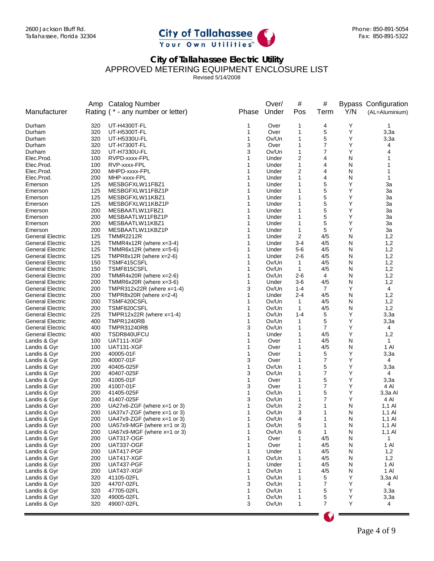

Revised 5/14/2008

|                                                    |            | Amp Catalog Number                         |        | Over/          | #                      | #              |        | <b>Bypass Configuration</b> |
|----------------------------------------------------|------------|--------------------------------------------|--------|----------------|------------------------|----------------|--------|-----------------------------|
| Manufacturer                                       |            | Rating (* - any number or letter)          | Phase  | Under          | Pos                    | Term           | Y/N    | (AL=Aluminium)              |
| Durham                                             | 320        | UT-H4300T-FL                               | 1      | Over           | 1                      | 4              | Υ      | 1                           |
| Durham                                             | 320        | UT-H5300T-FL                               | 1      | Over           | 1                      | 5              | Υ      | 3,3a                        |
| Durham                                             | 320        | UT-H5330U-FL                               | 1      | Ov/Un          | 1                      | 5              | Y      | 3,3a                        |
| Durham                                             | 320        | UT-H7300T-FL                               | 3      | Over           | 1                      | 7              | Y      | 4                           |
| Durham                                             | 320        | UT-H7330U-FL                               | 3      | Ov/Un          | $\mathbf 1$            | 7              | Υ      | 4                           |
| Elec.Prod.                                         | 100        | RVPD-xxxx-FPL                              | 1      | Under          | 2                      | 4              | N      |                             |
| Elec.Prod.                                         | 100        | RVP-xxxx-FPL                               | 1      | Under          | 1                      | 4              | N      |                             |
| Elec.Prod.                                         | 200        | MHPD-xxxx-FPL                              |        | Under          | 2                      | 4              | N      |                             |
| Elec.Prod.                                         | 200        | MHP-xxxx-FPL                               |        | Under          | 1                      | 4              | N      | 1                           |
| Emerson                                            | 125        | MESBGFXLW11FBZ1                            | 1      | Under          | 1                      | 5              | Υ      | 3a                          |
| Emerson                                            | 125        | MESBGFXLW11FBZ1P                           | 1      | Under          | 1                      | 5              | Υ      | 3a                          |
| Emerson                                            | 125        | MESBGFXLW11KBZ1                            | 1      | Under          | 1                      | 5              | Υ      | 3a                          |
| Emerson                                            | 125        | MESBGFXLW11KBZ1P                           | 1      | Under          | 1                      | 5              | Υ      | За                          |
| Emerson                                            | 200        | MESBAATLW11FBZ1                            | 1      | Under          | 1                      | 5              | Υ      | 3a                          |
| Emerson                                            | 200        | MESBAATLW11FBZ1P                           | 1      | Under          | 1                      | 5              | Υ      | За                          |
| Emerson                                            | 200        | MESBAATLW11KBZ1                            | 1      | Under          | 1                      | 5              | Υ      | 3a                          |
| Emerson                                            | 200        | MESBAATLW11KBZ1P                           | 1      | Under          | 1                      | 5              | Υ      | За                          |
| <b>General Electric</b>                            | 125        | <b>TMMR2212R</b>                           | 1      | Under          | 2                      | 4/5            | N      | 1,2                         |
| <b>General Electric</b>                            | 125        | TMMR4x12R (where x=3-4)                    | 1      | Under          | $3 - 4$                | 4/5            | N      | 1,2                         |
| <b>General Electric</b>                            | 125        | TMMR6x12R (where x=5-6)                    | 1      | Under          | 5-6                    | 4/5            | N      | 1,2                         |
| <b>General Electric</b>                            | 125        | TMPR8x12R (where $x=2-6$ )                 | 1      | Under          | $2 - 6$                | 4/5            | N      | 1,2                         |
| <b>General Electric</b>                            | 150        | TSMF415CSFL                                | 1      | Ov/Un          | $\mathbf{1}$           | 4/5            | N      | 1,2                         |
| <b>General Electric</b>                            | 150        | TSMF815CSFL                                | 1      | Ov/Un          | $\mathbf{1}$           | 4/5            | N      | 1,2                         |
| <b>General Electric</b>                            | 200        | TMMR4x20R (where x=2-6)                    | 1      | Ov/Un          | $2 - 6$                | 4              | N      | 1,2                         |
| <b>General Electric</b>                            | 200        | TMMR6x20R (where $x=3-6$ )                 | 1      | Under          | 3-6                    | 4/5            | N<br>Υ | 1,2                         |
| General Electric                                   | 200        | TMPR312x22R (where $x=1-4$ )               | 3      | Ov/Un          | $1 - 4$                | 7              |        | 4                           |
| <b>General Electric</b>                            | 200        | TMPR8x20R (where $x=2-4$ )                 | 1<br>1 | Under          | 2-4                    | 4/5            | N      | 1,2                         |
| General Electric                                   | 200        | TSMF420CSFL                                | 1      | Ov/Un<br>Ov/Un | 1                      | 4/5            | N<br>N | 1,2                         |
| <b>General Electric</b><br><b>General Electric</b> | 200<br>225 | TSMF820CSFL<br>TMPR12x22R (where $x=1-4$ ) | 1      | Ov/Un          | $\mathbf 1$<br>$1 - 4$ | 4/5<br>5       | Υ      | 1,2<br>3,3a                 |
| <b>General Electric</b>                            | 400        | TMPR1240RB                                 | 1      | Ov/Un          | $\mathbf 1$            | 5              | Υ      | 3,3a                        |
| <b>General Electric</b>                            | 400        | <b>TMPR31240RB</b>                         | 3      | Ov/Un          | $\mathbf 1$            | 7              | Y      | 4                           |
| <b>General Electric</b>                            | 400        | TSDR840UFCU                                | 1      | Under          | 1                      | 4/5            | Υ      | 1,2                         |
| Landis & Gyr                                       | 100        | UAT111-XGF                                 | 1      | Over           | 1                      | 4/5            | N      | 1                           |
| Landis & Gyr                                       | 100        | UAT131-XGF                                 | 1      | Over           | 1                      | 4/5            | N      | 1 Al                        |
| Landis & Gyr                                       | 200        | 40005-01F                                  | 1      | Over           | 1                      | 5              | Υ      | 3,3a                        |
| Landis & Gyr                                       | 200        | 40007-01F                                  | 3      | Over           | 1                      | 7              | Υ      | 4                           |
| Landis & Gyr                                       | 200        | 40405-025F                                 | 1      | Ov/Un          | 1                      | 5              | Υ      | 3,3a                        |
| Landis & Gyr                                       | 200        | 40407-025F                                 | 3      | Ov/Un          | 1                      | 7              | Υ      | 4                           |
| Landis & Gyr                                       | 200        | 41005-01F                                  | 1      | Over           | 1                      | 5              | Υ      | 3,3a                        |
| Landis & Gyr                                       | 200        | 41007-01F                                  | 3      | Over           | 1                      | 7              | Υ      | 4 Al                        |
| Landis & Gyr                                       | 200        | 41405-025F                                 | 1      | Ov/Un          | 1                      | 5              | Υ      | 3,3a Al                     |
| Landis & Gyr                                       | 200        | 41407-025F                                 | 3      | Ov/Un          | 1                      | 7              | Υ      | 4 Al                        |
| Landis & Gyr                                       | 200        | UA27x6-ZGF (where $x=1$ or 3)              | 1      | Ov/Un          | 2                      |                | N      | $1,1$ Al                    |
| Landis & Gyr                                       | 200        | UA37x7-ZGF (where $x=1$ or 3)              | 1      | Ov/Un          | 3                      | 1              | N      | $1,1$ Al                    |
| Landis & Gyr                                       | 200        | UA47x9-ZGF (where $x=1$ or 3)              |        | Ov/Un          | 4                      | 1              | N      | 1,1 Al                      |
| Landis & Gyr                                       | 200        | UA57x9-MGF (where x=1 or 3)                | 1      | Ov/Un          | 5                      | 1              | N      | $1,1$ Al                    |
| Landis & Gyr                                       | 200        | UA67x9-MGF (where $x=1$ or 3)              | 1      | Ov/Un          | 6                      | $\mathbf{1}$   | N      | $1,1$ Al                    |
| Landis & Gyr                                       | 200        | <b>UAT317-OGF</b>                          | 1      | Over           | 1                      | 4/5            | N      | $\mathbf{1}$                |
| Landis & Gyr                                       | 200        | <b>UAT337-OGF</b>                          | 1      | Over           | 1                      | 4/5            | N      | 1 Al                        |
| Landis & Gyr                                       | 200        | UAT417-PGF                                 | 1      | Under          | 1                      | 4/5            | N      | 1,2                         |
| Landis & Gyr                                       | 200        | UAT417-XGF                                 | 1      | Ov/Un          | 1                      | 4/5            | N      | 1,2                         |
| Landis & Gyr                                       | 200        | UAT437-PGF                                 |        | Under          | 1                      | 4/5            | N      | 1 Al                        |
| Landis & Gyr                                       | 200        | UAT437-XGF                                 |        | Ov/Un          | 1                      | 4/5            | N      | 1 Al                        |
| Landis & Gyr                                       | 320        | 41105-02FL                                 | 1      | Ov/Un          | 1                      | 5              | Υ      | 3,3a Al                     |
| Landis & Gyr                                       | 320        | 44707-02FL                                 | 3      | Ov/Un          | 1                      | 7              | Υ      | 4                           |
| Landis & Gyr                                       | 320        | 47705-02FL                                 | 1      | Ov/Un          | 1                      | 5              | Υ      | 3,3a                        |
| Landis & Gyr                                       | 320        | 49005-02FL                                 | 1      | Ov/Un          | 1                      | 5              | Υ      | 3,3a                        |
| Landis & Gyr                                       | 320        | 49007-02FL                                 | 3      | Ov/Un          | 1                      | $\overline{7}$ | Y      | 4                           |
|                                                    |            |                                            |        |                |                        |                |        |                             |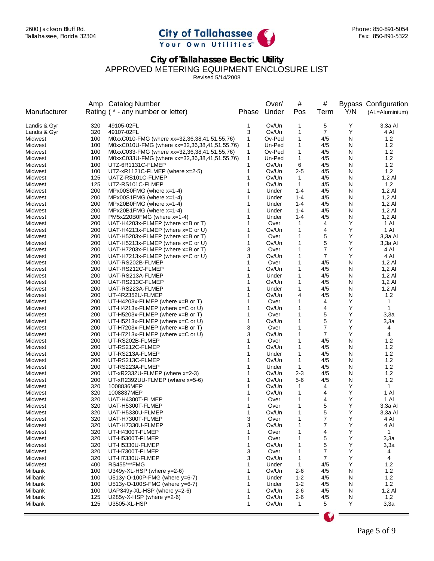

Revised 5/14/2008

|                    |            | Amp Catalog Number                                                     |        | Over/          | #                   | #              |        | <b>Bypass Configuration</b> |
|--------------------|------------|------------------------------------------------------------------------|--------|----------------|---------------------|----------------|--------|-----------------------------|
| Manufacturer       |            | Rating (* - any number or letter)                                      | Phase  | Under          | Pos                 | Term           | Y/N    | (AL=Aluminium)              |
| Landis & Gyr       | 320        | 49105-02FL                                                             | 1      | Ov/Un          | 1                   | 5              | Υ      | 3,3a Al                     |
| Landis & Gyr       | 320        | 49107-02FL                                                             | 3      | Ov/Un          | 1                   | 7              | Υ      | 4 Al                        |
| Midwest            | 100        | M0xxC010-FMG (where xx=32,36,38,41,51,55,76)                           | 1      | Ov-Ped         | 1                   | 4/5            | N      | 1,2                         |
| Midwest            | 100        | M0xxC010U-FMG (where xx=32,36,38,41,51,55,76)                          | 1      | Un-Ped         | 1                   | 4/5            | N      | 1,2                         |
| Midwest            | 100        | M0xxC033-FMG (where xx=32,36,38,41,51,55,76)                           | 1      | Ov-Ped         | 1                   | 4/5            | N      | 1,2                         |
| Midwest            | 100        | M0xxC033U-FMG (where xx=32,36,38,41,51,55,76)                          | 1      | Un-Ped         | 1                   | 4/5            | N      | 1,2                         |
| Midwest            | 100        | UTZ-6R1131C-FLMEP                                                      | 1      | Ov/Un          | 6                   | 4/5            | N      | 1,2                         |
| Midwest            | 100        | UTZ-xR1121C-FLMEP (where x=2-5)                                        | 1      | Ov/Un          | $2 - 5$             | 4/5            | N      | 1,2                         |
| Midwest            | 125        | UATZ-RS101C-FLMEP                                                      | 1      | Ov/Un          | 1                   | 4/5            | N      | $1,2$ Al                    |
| Midwest            | 125        | UTZ-RS101C-FLMEP                                                       | 1      | Ov/Un          | $\mathbf{1}$        | 4/5            | N      | 1,2                         |
| Midwest            | 200        | MPx00S0FMG (where x=1-4)                                               | 1      | Under          | $1 - 4$             | 4/5            | N      | $1,2$ Al                    |
| Midwest            | 200        | $MPx00S1FMG$ (where $x=1-4$ )                                          | 1      | Under          | $1 - 4$             | 4/5            | N      | $1,2$ Al                    |
| Midwest            | 200        | MPx20B0FMG (where x=1-4)                                               | 1      | Under          | $1 - 4$             | 4/5            | N      | $1,2$ Al                    |
| Midwest            | 200        | $MPx20B1FMG$ (where $x=1-4$ )                                          | 1      | Under          | $1 - 4$             | 4/5            | N      | $1,2$ Al                    |
| Midwest            | 200        | PM5x220B0FMG (where x=1-4)                                             | 1      | Under          | $1 - 4$             | 4/5            | N      | $1,2$ Al                    |
| Midwest<br>Midwest | 200<br>200 | UAT-H4203x-FLMEP (where x=B or T)<br>UAT-H4213x-FLMEP (where x=C or U) | 1<br>1 | Over<br>Ov/Un  | 1<br>1              | 4<br>4         | Υ<br>Υ | 1 Al<br>1 Al                |
| Midwest            | 200        | UAT-H5203x-FLMEP (where x=B or T)                                      | 1      | Over           | 1                   | 5              | Υ      | 3,3a Al                     |
| Midwest            | 200        | UAT-H5213x-FLMEP (where x=C or U)                                      | 1      | Ov/Un          | 1                   | 5              | Υ      | 3,3a Al                     |
| Midwest            | 200        | UAT-H7203x-FLMEP (where x=B or T)                                      | 3      | Over           | 1                   | 7              | Υ      | 4 Al                        |
| Midwest            | 200        | UAT-H7213x-FLMEP (where x=C or U)                                      | 3      | Ov/Un          | 1                   | $\overline{7}$ | Υ      | 4 Al                        |
| Midwest            | 200        | UAT-RS202B-FLMEP                                                       | 1      | Over           | 1                   | 4/5            | N      | $1,2$ Al                    |
| Midwest            | 200        | UAT-RS212C-FLMEP                                                       | 1      | Ov/Un          | 1                   | 4/5            | N      | 1,2 Al                      |
| Midwest            | 200        | UAT-RS213A-FLMEP                                                       | 1      | Under          | 1                   | 4/5            | N      | $1,2$ Al                    |
| Midwest            | 200        | UAT-RS213C-FLMEP                                                       |        | Ov/Un          | 1                   | 4/5            | N      | 1,2 Al                      |
| Midwest            | 200        | UAT-RS223A-FLMEP                                                       |        | Under          | 1                   | 4/5            | N      | $1,2$ Al                    |
| Midwest            | 200        | UT-4R2352U-FLMEP                                                       | 1      | Ov/Un          | 4                   | 4/5            | N      | 1,2                         |
| Midwest            | 200        | UT-H4203x-FLMEP (where $x=$ B or T)                                    | 1      | Over           | 1                   | 4              | Υ      | 1                           |
| Midwest            | 200        | UT-H4213x-FLMEP (where x=C or U)                                       | 1      | Ov/Un          | 1                   | 4              | Υ      | $\mathbf{1}$                |
| Midwest            | 200        | UT-H5203x-FLMEP (where x=B or T)                                       | 1      | Over           | 1                   | 5              | Υ      | 3,3a                        |
| Midwest            | 200        | UT-H5213x-FLMEP (where $x = C$ or U)                                   | 1      | Ov/Un          | 1                   | 5              | Υ      | 3,3a                        |
| Midwest            | 200        | UT-H7203x-FLMEP (where x=B or T)                                       | 3      | Over           | 1                   | 7              | Υ      | 4                           |
| Midwest            | 200        | UT-H7213x-FLMEP (where $x=0$ or U)                                     | 3      | Ov/Un          | 1                   | 7              | Υ      | 4                           |
| Midwest            | 200        | UT-RS202B-FLMEP                                                        | 1      | Over           | 1                   | 4/5            | N      | 1,2                         |
| Midwest            | 200        | UT-RS212C-FLMEP                                                        | 1<br>1 | Ov/Un          | 1                   | 4/5            | N      | 1,2                         |
| Midwest<br>Midwest | 200<br>200 | UT-RS213A-FLMEP                                                        | 1      | Under<br>Ov/Un | 1<br>$\mathbf{1}$   | 4/5<br>4/5     | N<br>N | 1,2                         |
| Midwest            | 200        | UT-RS213C-FLMEP<br>UT-RS223A-FLMEP                                     | 1      | Under          | 1                   | 4/5            | N      | 1,2<br>1,2                  |
| Midwest            | 200        | UT-xR2332U-FLMEP (where x=2-3)                                         | 1      | Ov/Un          | $2 - 3$             | 4/5            | N      | 1,2                         |
| Midwest            | 200        | UT-xR2392UU-FLMEP (where $x=5-6$ )                                     |        | Ov/Un          | $5-6$               | 4/5            | N      | 1,2                         |
| Midwest            | 320        | 1008836MEP                                                             |        | Ov/Un          | 1                   | 4              | Υ      | $\mathbf{1}$                |
| Midwest            | 320        | 1008837MEP                                                             | 1      | Ov/Un          | $\mathbf{1}$        | 4              | Y      | 1 Al                        |
| Midwest            | 320        | UAT-H4300T-FLMEP                                                       | 1      | Over           | 1                   | 4              | Υ      | 1 Al                        |
| Midwest            | 320        | UAT-H5300T-FLMEP                                                       | 1      | Over           | 1                   | 5              | Υ      | 3,3a Al                     |
| Midwest            | 320        | UAT-H5330U-FLMEP                                                       | 1      | Ov/Un          | 1                   | 5              | Υ      | 3,3a Al                     |
| Midwest            | 320        | UAT-H7300T-FLMEP                                                       | 3      | Over           | 1                   | 7              | Υ      | 4 Al                        |
| Midwest            | 320        | UAT-H7330U-FLMEP                                                       | 3      | Ov/Un          | 1                   | 7              | Υ      | 4 Al                        |
| Midwest            | 320        | UT-H4300T-FLMEP                                                        | 1      | Over           | $\mathbf{1}$        | 4              | Υ      | $\mathbf{1}$                |
| Midwest            | 320        | UT-H5300T-FLMEP                                                        | 1      | Over           | 1                   | 5              | Υ      | 3,3a                        |
| Midwest            | 320        | UT-H5330U-FLMEP                                                        | 1      | Ov/Un          | 1                   | 5              | Υ      | 3,3a                        |
| Midwest            | 320        | UT-H7300T-FLMEP                                                        | 3      | Over           | 1                   | 7              | Υ      | 4                           |
| Midwest            | 320        | UT-H7330U-FLMEP                                                        | 3      | Ov/Un          | $\mathbf{1}$        | 7              | Υ      | 4                           |
| Midwest            | 400        | <b>RS455***FMG</b>                                                     | 1      | Under          | 1                   | 4/5            | Υ      | 1,2                         |
| Milbank            | 100        | U349y-XL-HSP (where $y=2-6$ )                                          | 1      | Ov/Un          | 2-6                 | 4/5            | N      | 1,2                         |
| Milbank            | 100        | U513y-O-100P-FMG (where y=6-7)                                         | 1      | Under          | $1 - 2$             | 4/5            | N      | 1,2                         |
| Milbank            | 100        | U513y-O-100S-FMG (where y=6-7)                                         |        | Under          | $1 - 2$             | 4/5            | N      | 1,2                         |
| Milbank<br>Milbank | 100        | UAP349y-XL-HSP (where $y=2-6$ )                                        | 1<br>1 | Ov/Un<br>Ov/Un | $2 - 6$             | 4/5            | N      | $1,2$ Al                    |
| Milbank            | 125<br>125 | U285y-X-HSP (where $y=2-6$ )<br>U3505-XL-HSP                           | 1      | Ov/Un          | 2-6<br>$\mathbf{1}$ | 4/5<br>5       | N<br>Υ | 1,2<br>3,3a                 |
|                    |            |                                                                        |        |                |                     |                |        |                             |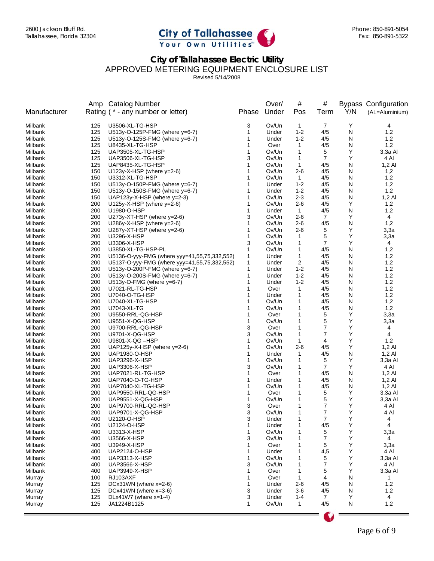

Revised 5/14/2008

|                    |            | Amp Catalog Number                           |        | Over/          | #                   | #          |        | <b>Bypass Configuration</b> |
|--------------------|------------|----------------------------------------------|--------|----------------|---------------------|------------|--------|-----------------------------|
| Manufacturer       |            | Rating (* - any number or letter)            | Phase  | Under          | Pos                 | Term       | Y/N    | (AL=Aluminium)              |
| Milbank            | 125        | U3506-XL-TG-HSP                              | 3      | Ov/Un          | $\mathbf{1}$        | 7          | Υ      | 4                           |
| Milbank            | 125        | U513y-O-125P-FMG (where y=6-7)               | 1      | Under          | $1 - 2$             | 4/5        | N      | 1,2                         |
| Milbank            | 125        | U513y-O-125S-FMG (where y=6-7)               | 1      | Under          | $1 - 2$             | 4/5        | N      | 1,2                         |
| Milbank            | 125        | U8435-XL-TG-HSP                              | 1      | Over           | 1                   | 4/5        | N      | 1,2                         |
| Milbank            | 125        | UAP3505-XL-TG-HSP                            | 1      | Ov/Un          | $\mathbf{1}$        | 5          | Y      | 3,3a Al                     |
| Milbank            | 125        | UAP3506-XL-TG-HSP                            | 3      | Ov/Un          | 1                   | 7          | Υ      | 4 Al                        |
| Milbank            | 125        | UAP8435-XL-TG-HSP                            | 1      | Ov/Un          | 1                   | 4/5        | N      | $1,2 \text{ Al}$            |
| Milbank            | 150        | U123y-X-HSP (where $y=2-6$ )                 | 1      | Ov/Un          | $2 - 6$             | 4/5        | N      | 1,2                         |
| Milbank            | 150        | U3312-XL-TG-HSP                              | 1      | Ov/Un          | 1                   | 4/5        | N      | 1,2                         |
| Milbank            | 150        | U513y-O-150P-FMG (where $y=6-7$ )            | 1      | Under          | $1 - 2$             | 4/5        | N      | 1,2                         |
| Milbank            | 150        | U513y-O-150S-FMG (where y=6-7)               | 1      | Under          | $1 - 2$             | 4/5        | N      | 1,2                         |
| Milbank            | 150        | UAP123y-X-HSP (where $y=2-3$ )               | 1      | Ov/Un          | $2 - 3$             | 4/5        | N      | $1,2$ Al                    |
| Milbank            | 200        | U125y-X-HSP (where $y=2-6$ )                 | 1      | Ov/Un          | $2 - 6$             | 4/5        | Υ      | 1,2                         |
| Milbank            | 200        | U1980-O-HSP                                  | 1      | Under          | $\mathbf{1}$        | 4/5        | N      | 1,2                         |
| Milbank            | 200        | U273y-XT-HSP (where $y=2-6$ )                | 3      | Ov/Un          | 2-6                 | 7          | Υ      | 4                           |
| Milbank            | 200        | U286y-X-HSP (where y=2-6)                    | 1      | Ov/Un          | $2 - 6$             | 4/5        | N      | 1,2                         |
| Milbank            | 200        | U287y-XT-HSP (where $y=2-6$ )                | 1      | Ov/Un          | $2 - 6$             | 5          | Υ      | 3,3a                        |
| Milbank            | 200        | U3296-X-HSP                                  | 1      | Ov/Un          | $\mathbf{1}$        | 5          | Υ      | 3,3a                        |
| Milbank            | 200        | U3306-X-HSP                                  | 3      | Ov/Un          | $\mathbf{1}$        | 7          | Υ      | 4                           |
| Milbank            | 200        | U3850-XL-TG-HSP-PL                           | 1      | Ov/Un          | 1                   | 4/5        | N      | 1,2                         |
| Milbank            | 200        | U5136-O-yyy-FMG (where yyy=41,55,75,332,552) | 1      | Under          | 1                   | 4/5        | N      | 1,2                         |
| Milbank            | 200        | U5137-O-yyy-FMG (where yyy=41,55,75,332,552) | 1      | Under          | 2                   | 4/5        | N      | 1,2                         |
| Milbank            | 200        | U513y-O-200P-FMG (where $y=6-7$ )            | 1      | Under          | $1 - 2$             | 4/5        | N      | 1,2                         |
| Milbank            | 200        | U513y-O-200S-FMG (where y=6-7)               | 1<br>1 | Under          | $1 - 2$             | 4/5        | N      | 1,2                         |
| Milbank            | 200        | U513y-O-FMG (where $y=6-7$ )                 | 1      | Under          | $1 - 2$             | 4/5        | N      | 1,2                         |
| Milbank            | 200        | U7021-RL-TG-HSP                              | 1      | Over           | 1                   | 4/5        | N      | 1,2                         |
| Milbank<br>Milbank | 200<br>200 | U7040-O-TG-HSP<br>U7040-XL-TG-HSP            | 1      | Under<br>Ov/Un | $\mathbf{1}$<br>1   | 4/5<br>4/5 | N<br>N | 1,2<br>1,2                  |
| Milbank            | 200        | U7043-XL-TG                                  | 1      | Ov/Un          | 1                   | 4/5        | N      | 1,2                         |
| Milbank            | 200        | U9550-RRL-QG-HSP                             | 1      | Over           | 1                   | 5          | Υ      | 3,3a                        |
| Milbank            | 200        | U9551-X-QG-HSP                               | 1      | Ov/Un          | 1                   | 5          | Υ      | 3,3a                        |
| Milbank            | 200        | U9700-RRL-QG-HSP                             | 3      | Over           | 1                   | 7          | Υ      | 4                           |
| Milbank            | 200        | U9701-X-QG-HSP                               | 3      | Ov/Un          | 1                   | 7          | Υ      | 4                           |
| Milbank            | 200        | U9801-X-QG-HSP                               | 1      | Ov/Un          | 1                   | 4          | Υ      | 1,2                         |
| Milbank            | 200        | UAP125y-X-HSP (where $y=2-6$ )               | 1      | Ov/Un          | $2 - 6$             | 4/5        | Υ      | $1,2$ Al                    |
| Milbank            | 200        | UAP1980-O-HSP                                | 1      | Under          | 1                   | 4/5        | N      | $1,2$ Al                    |
| Milbank            | 200        | UAP3296-X-HSP                                | 1      | Ov/Un          | 1                   | 5          | Υ      | 3,3a Al                     |
| Milbank            | 200        | UAP3306-X-HSP                                | 3      | Ov/Un          | 1                   | 7          | Υ      | 4 Al                        |
| Milbank            | 200        | UAP7021-RL-TG-HSP                            | 1      | Over           | 1                   | 4/5        | N      | $1,2 \text{ Al}$            |
| Milbank            | 200        | UAP7040-O-TG-HSP                             | 1      | Under          | 1                   | 4/5        | N      | $1,2 \text{ Al}$            |
| Milbank            | 200        | UAP7040-XL-TG-HSP                            | 1      | Ov/Un          | 1                   | 4/5        | N      | $1,2$ Al                    |
| Milbank            | 200        | UAP9550-RRL-QG-HSP                           | 1      | Over           | 1                   | 5          | Υ      | 3,3a Al                     |
| Milbank            | 200        | UAP9551-X-QG-HSP                             | 1      | Ov/Un          | 1                   | 5          | Υ      | $3,3a$ Al                   |
| Milbank            | 200        | UAP9700-RRL-QG-HSP                           | 3      | Over           | 1                   | 7          | Y      | 4 AI                        |
| Milbank            | 200        | UAP9701-X-QG-HSP                             | 3      | Ov/Un          | 1                   | 7          | Υ      | 4 Al                        |
| Milbank            | 400        | U2120-O-HSP                                  | 3      | Under          | 1                   | 7          | Υ      | 4                           |
| Milbank            | 400        | U2124-O-HSP                                  | 1      | Under          | 1                   | 4/5        | Υ      | 4                           |
| Milbank            | 400        | U3313-X-HSP                                  | 1      | Ov/Un          | $\mathbf{1}$        | 5          | Υ      | 3,3a                        |
| Milbank            | 400        | U3566-X-HSP                                  | 3      | Ov/Un          | 1                   | 7          | Υ      | 4                           |
| Milbank            | 400        | U3949-X-HSP                                  | 1      | Over           | 1                   | 5          | Υ      | 3,3a                        |
| Milbank            | 400        | UAP2124-O-HSP                                | 1      | Under          | 1                   | 4,5        | Y      | 4 Al                        |
| Milbank            | 400        | UAP3313-X-HSP                                | 1      | Ov/Un          | 1                   | 5          | Υ      | 3,3a Al                     |
| Milbank            | 400        | <b>UAP3566-X-HSP</b>                         | 3      | Ov/Un          | 1                   | 7          | Υ      | 4 AI                        |
| Milbank            | 400        | UAP3949-X-HSP                                | 1      | Over           | 1                   | 5          | Υ      | 3,3a Al                     |
| Murray             | 100        | RJ103AXF                                     | 1      | Over           | $\mathbf{1}$        | 4          | N      | $\mathbf{1}$                |
| Murray             | 125        | DCx31WN (where $x=2-6$ )                     | 1      | Under          | 2-6                 | 4/5        | N      | 1,2                         |
| Murray             | 125        | $DCx41WN$ (where $x=3-6$ )                   | 3      | Under          | $3-6$               | 4/5        | N      | 1,2                         |
| Murray<br>Murray   | 125<br>125 | DLx41W7 (where $x=1-4$ )<br>JA1224B1125      | 3<br>1 | Under<br>Ov/Un | 1-4<br>$\mathbf{1}$ | 7<br>4/5   | Y<br>N | 4<br>1,2                    |
|                    |            |                                              |        |                |                     |            |        |                             |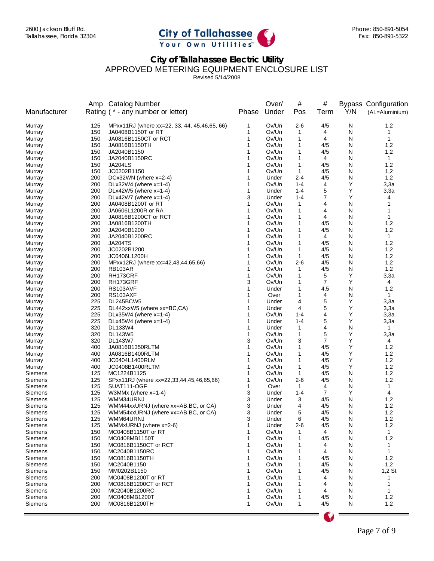

Revised 5/14/2008

|                    |            | Amp Catalog Number                             |        | Over/          | #                | #          |        | <b>Bypass Configuration</b> |
|--------------------|------------|------------------------------------------------|--------|----------------|------------------|------------|--------|-----------------------------|
| Manufacturer       |            | Rating (* - any number or letter)              | Phase  | Under          | Pos              | Term       | Y/N    | (AL=Aluminium)              |
| Murray             | 125        | MPxx11RJ (where xx=22, 33, 44, 45, 46, 65, 66) | 1      | Ov/Un          | 2-6              | 4/5        | N      | 1,2                         |
| Murray             | 150        | JA0408B1150T or RT                             | 1      | Ov/Un          | $\mathbf{1}$     | 4          | N      | 1                           |
| Murray             | 150        | JA0816B1150CT or RCT                           | 1      | Ov/Un          | 1                | 4          | N      | $\mathbf{1}$                |
| Murray             | 150        | JA0816B1150TH                                  | 1      | Ov/Un          | 1                | 4/5        | N      | 1,2                         |
| Murray             | 150        | JA2040B1150                                    | 1      | Ov/Un          | 1                | 4/5        | N      | 1,2                         |
| Murray             | 150        | JA2040B1150RC                                  | 1      | Ov/Un          | 1                | 4          | N      | $\mathbf{1}$                |
| Murray             | 150        | JA204LS                                        | 1      | Ov/Un          | 1                | 4/5        | N      | 1,2                         |
| Murray             | 150<br>200 | JC0202B1150<br>DCx32WN (where x=2-4)           | 1<br>1 | Ov/Un          | 1<br>$2 - 4$     | 4/5<br>4/5 | N      | 1,2<br>1,2                  |
| Murray<br>Murray   | 200        | DLx32W4 (where $x=1-4$ )                       | 1      | Under<br>Ov/Un | $1 - 4$          | 4          | N<br>Υ | 3,3a                        |
| Murray             | 200        | DLx42W5 (where x=1-4)                          | 1      | Under          | $1 - 4$          | 5          | Υ      | 3,3a                        |
| Murray             | 200        | DLx42W7 (where $x=1-4$ )                       | 3      | Under          | $1 - 4$          | 7          | Y      | 4                           |
| Murray             | 200        | JA0408B1200T or RT                             | 1      | Ov/Un          | $\mathbf{1}$     | 4          | N      | 1                           |
| Murray             | 200        | JA0606L1200R or RA                             | 1      | Ov/Un          | 1                | 4          | N      | 1                           |
| Murray             | 200        | JA0816B1200CT or RCT                           | 1      | Ov/Un          | 1                | 4          | N      | 1                           |
| Murray             | 200        | JA0816B1200TH                                  | 1      | Ov/Un          | 1                | 4/5        | N      | 1,2                         |
| Murray             | 200        | JA2040B1200                                    | 1      | Ov/Un          | 1                | 4/5        | N      | 1,2                         |
| Murray             | 200        | JA2040B1200RC                                  | 1      | Ov/Un          | 1                | 4          | N      | $\mathbf{1}$                |
| Murray             | 200        | <b>JA204TS</b>                                 | 1      | Ov/Un          | 1                | 4/5        | N      | 1,2                         |
| Murray             | 200        | JC0202B1200                                    | 1      | Ov/Un          | 1                | 4/5        | N      | 1,2                         |
| Murray             | 200        | JC0406L1200H                                   | 1      | Ov/Un          | 1                | 4/5        | N      | 1,2                         |
| Murray             | 200        | MPxx12RJ (where xx=42,43,44,65,66)             | 1      | Ov/Un          | $2 - 6$          | 4/5        | N      | 1,2                         |
| Murray             | 200        | RB103AR                                        | 1      | Ov/Un          | $\mathbf 1$      | 4/5        | N      | 1,2                         |
| Murray             | 200        | RH173CRF                                       | 1      | Ov/Un          | 1                | 5          | Υ      | 3,3a                        |
| Murray             | 200        | RH173GRF                                       | 3      | Ov/Un          | 1                | 7          | Υ      | 4                           |
| Murray             | 200        | RS103AVF                                       | 1      | Under          | 1                | 4,5        | N      | 1,2                         |
| Murray             | 200        | RS103AXF                                       | 1      | Over           | 1                | 4          | N      | $\mathbf{1}$                |
| Murray             | 225        | DL245BCW5                                      | 1      | Under          | 4                | 5          | Υ      | 3,3a                        |
| Murray             | 225        | DL442xxW5 (where xx=BC,CA)                     | 1      | Under          | 4                | 5          | Y      | 3,3a                        |
| Murray             | 225        | DLx35W4 (where $x=1-4$ )                       | 1      | Ov/Un          | $1 - 4$          | 4          | Υ      | 3,3a                        |
| Murray             | 225        | DLx45W4 (where $x=1-4$ )                       | 1      | Under          | $1 - 4$          | 5          | Υ      | 3,3a                        |
| Murray             | 320<br>320 | DL133W4<br><b>DL143W5</b>                      | 1<br>1 | Under<br>Ov/Un | $\mathbf 1$<br>1 | 4<br>5     | N<br>Υ | $\mathbf{1}$                |
| Murray<br>Murray   | 320        | DL143W7                                        | 3      | Ov/Un          | 3                | 7          | Υ      | 3,3a<br>4                   |
| Murray             | 400        | JA0816B1350RLTM                                | 1      | Ov/Un          | $\mathbf 1$      | 4/5        | Υ      | 1,2                         |
| Murray             | 400        | JA0816B1400RLTM                                | 1      | Ov/Un          | 1                | 4/5        | Υ      | 1,2                         |
| Murray             | 400        | JC0404L1400RLM                                 | 1      | Ov/Un          | 1                | 4/5        | Υ      | 1,2                         |
| Murray             | 400        | JC0408B1400RLTM                                | 1      | Ov/Un          | 1                | 4/5        | Υ      | 1,2                         |
| Siemens            | 125        | MC1224B1125                                    | 1      | Ov/Un          | $\mathbf{1}$     | 4/5        | N      | 1,2                         |
| Siemens            | 125        | SPxx11RJ (where xx=22,33,44,45,46,65,66)       |        | Ov/Un          | $2 - 6$          | 4/5        | N      | 1,2                         |
| Siemens            | 125        | SUAT111-OGF                                    | 1      | Over           | 1                | 4          | N      | 1                           |
| Siemens            | 125        | W3MMx (where $x=1-4$ )                         | 3      | Under          | $1 - 4$          | 7          | Υ      | 4                           |
| Siemens            | 125        | WMM34URNJ                                      | 3      | Under          | 3                | 4/5        | N      | 1,2                         |
| Siemens            | 125        | WMM44xxURNJ (where xx=AB,BC, or CA)            | 3      | Under          | 4                | 4/5        | N      | 1,2                         |
| Siemens            | 125        | WMM54xxURNJ (where xx=AB,BC, or CA)            | 3      | Under          | 5                | 4/5        | N      | 1,2                         |
| Siemens            | 125        | WMM64URNJ                                      | 3      | Under          | 6                | 4/5        | N      | 1,2                         |
| Siemens            | 125        | WMMxURNJ (where x=2-6)                         | 1      | Under          | 2-6              | 4/5        | N      | 1,2                         |
| Siemens            | 150        | MC0408B1150T or RT                             | 1      | Ov/Un          | 1                | 4          | N      | 1                           |
| Siemens            | 150        | MC0408MB1150T                                  |        | Ov/Un          | 1                | 4/5        | N      | 1,2                         |
| Siemens            | 150        | MC0816B1150CT or RCT                           |        | Ov/Un          | 1                | 4          | N      | 1                           |
| Siemens            | 150        | MC2040B1150RC                                  |        | Ov/Un          | 1                | 4          | N      | 1                           |
| Siemens            | 150        | MC0816B1150TH                                  |        | Ov/Un          | 1                | 4/5        | N      | 1,2                         |
| Siemens<br>Siemens | 150<br>150 | MC2040B1150                                    |        | Ov/Un<br>Ov/Un |                  | 4/5<br>4/5 | N      | 1,2                         |
| Siemens            | 200        | MM0202B1150<br>MC0408B1200T or RT              |        | Ov/Un          |                  | 4          | N<br>N | $1,2$ St<br>1               |
| Siemens            | 200        | MC0816B1200CT or RCT                           |        | Ov/Un          |                  | 4          | N      | 1                           |
| Siemens            | 200        | MC2040B1200RC                                  |        | Ov/Un          | 1                | 4          | N      | 1                           |
| Siemens            | 200        | MC0408MB1200T                                  |        | Ov/Un          | 1                | 4/5        | N      | 1,2                         |
| Siemens            | 200        | MC0816B1200TH                                  | 1      | Ov/Un          | 1                | 4/5        | N      | 1,2                         |
|                    |            |                                                |        |                |                  |            |        |                             |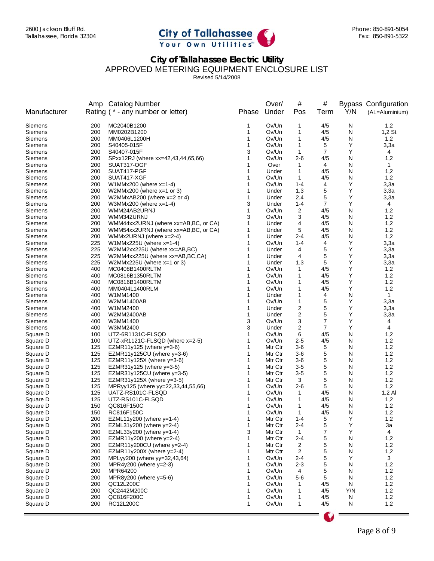

Revised 5/14/2008

|                      |            | Amp Catalog Number                                                           |        | Over/          | #                 | #              |        | <b>Bypass Configuration</b> |
|----------------------|------------|------------------------------------------------------------------------------|--------|----------------|-------------------|----------------|--------|-----------------------------|
| Manufacturer         |            | Rating (* - any number or letter)                                            | Phase  | Under          | Pos               | Term           | Y/N    | (AL=Aluminium)              |
| Siemens              | 200        | MC2040B1200                                                                  | 1      | Ov/Un          | 1                 | 4/5            | N      | 1,2                         |
| Siemens              | 200        | MM0202B1200                                                                  | 1      | Ov/Un          | 1                 | 4/5            | N      | $1,2$ St                    |
| Siemens              | 200        | MM0406L1200H                                                                 | 1      | Ov/Un          | 1                 | 4/5            | N      | 1,2                         |
| Siemens              | 200        | S40405-015F                                                                  | 1      | Ov/Un          | 1                 | 5              | Υ      | 3,3a                        |
| Siemens              | 200        | S40407-015F                                                                  | 3      | Ov/Un          | $\mathbf{1}$      | $\overline{7}$ | Υ      | 4                           |
| Siemens              | 200        | SPxx12RJ (where xx=42,43,44,65,66)                                           | 1      | Ov/Un          | $2 - 6$           | 4/5            | N      | 1,2                         |
| Siemens              | 200        | SUAT317-OGF                                                                  | 1      | Over           | 1                 | 4              | N      | 1                           |
| Siemens              | 200        | SUAT417-PGF                                                                  |        | Under          | $\mathbf{1}$      | 4/5            | N      | 1,2                         |
| Siemens              | 200        | SUAT417-XGF                                                                  |        | Ov/Un          | 1                 | 4/5            | N      | 1,2                         |
| Siemens              | 200        | W1MMx200 (where $x=1-4$ )                                                    |        | Ov/Un          | $1 - 4$           | 4              | Υ      | 3,3a                        |
| Siemens              | 200        | W2MMx200 (where $x=1$ or 3)                                                  | 1      | Under          | 1,3               | 5              | Υ      | 3,3a                        |
| Siemens              | 200        | W2MMxAB200 (where $x=2$ or 4)                                                | 1      | Under          | 2,4               | 5              | Υ      | 3,3a                        |
| Siemens              | 200        | W3MMx200 (where $x=1-4$ )                                                    | 3      | Under          | $1 - 4$           | 7              | Υ      | 4                           |
| Siemens              | 200        | WMM24AB2URNJ                                                                 | 1      | Ov/Un          | 2                 | 4/5            | N      | 1,2                         |
| Siemens              | 200        | WMM342URNJ                                                                   | 3<br>1 | Ov/Un          | 3                 | 4/5            | N      | 1,2                         |
| Siemens<br>Siemens   | 200<br>200 | WMM44xx2URNJ (where xx=AB,BC, or CA)<br>WMM54xx2URNJ (where xx=AB,BC, or CA) | 1      | Under<br>Under | 4<br>5            | 4/5<br>4/5     | N<br>N | 1,2<br>1,2                  |
| Siemens              | 200        | WMMx2URNJ (where $x=2-4$ )                                                   | 1      | Under          | $2 - 4$           | 4/5            | N      | 1,2                         |
| Siemens              | 225        | W1MMx225U (where $x=1-4$ )                                                   | 1      | Ov/Un          | $1 - 4$           | 4              | Υ      | 3,3a                        |
| Siemens              | 225        | W2MM2xx225U (where xx=AB,BC)                                                 |        | Under          | 4                 | 5              | Υ      | 3,3a                        |
| Siemens              | 225        | W2MM4xx225U (where xx=AB,BC,CA)                                              | 1      | Under          | 4                 | 5              | Υ      | 3,3a                        |
| Siemens              | 225        | W2MMx225U (where $x=1$ or 3)                                                 | 1      | Under          | 1,3               | 5              | Υ      | 3,3a                        |
| Siemens              | 400        | MC0408B1400RLTM                                                              |        | Ov/Un          | 1                 | 4/5            | Υ      | 1,2                         |
| Siemens              | 400        | MC0816B1350RLTM                                                              |        | Ov/Un          | 1                 | 4/5            | Υ      | 1,2                         |
| Siemens              | 400        | MC0816B1400RLTM                                                              |        | Ov/Un          | 1                 | 4/5            | Υ      | 1,2                         |
| Siemens              | 400        | MM0404L1400RLM                                                               |        | Ov/Un          | 1                 | 4/5            | Υ      | 1,2                         |
| <b>Siemens</b>       | 400        | W1MM1400                                                                     |        | Under          | 1                 | 4              | N      | $\mathbf{1}$                |
| Siemens              | 400        | W2MM1400AB                                                                   |        | Ov/Un          | 1                 | 5              | Υ      | 3,3a                        |
| Siemens              | 400        | W1MM2400                                                                     | 1      | Under          | 2                 | 5              | Υ      | 3,3a                        |
| Siemens              | 400        | W2MM2400AB                                                                   | 1      | Under          | 2                 | 5              | Υ      | 3,3a                        |
| Siemens              | 400        | W3MM1400                                                                     | 3      | Ov/Un          | 3                 | 7              | Υ      | 4                           |
| Siemens              | 400        | W3MM2400                                                                     | 3      | Under          | 2                 | 7              | Υ      | 4                           |
| Square D             | 100        | UTZ-6R1131C-FLSQD                                                            | 1      | Ov/Un          | 6                 | 4/5            | N      | 1,2                         |
| Square D             | 100        | UTZ-xR1121C-FLSQD (where $x=2-5$ )                                           | 1      | Ov/Un          | 2-5               | 4/5            | N      | 1,2                         |
| Square D             | 125        | EZMR11y125 (where $y=3-6$ )                                                  | 1      | Mtr Ctr        | $3-6$             | 5              | N      | 1,2                         |
| Square D             | 125        | EZMR11y125CU (where $y=3-6$ )                                                | 1      | Mtr Ctr        | $3-6$             | 5              | N      | 1,2                         |
| Square D             | 125        | EZMR11y125X (where $y=3-6$ )                                                 | 1      | Mtr Ctr        | 3-6               | 5              | N      | 1,2                         |
| Square D             | 125        | EZMR31y125 (where $y=3-5$ )                                                  | 1      | Mtr Ctr        | $3 - 5$           | 5              | N      | 1,2                         |
| Square D             | 125        | EZMR31y125CU (where $y=3-5$ )                                                | 1      | Mtr Ctr        | $3-5$             | 5              | N      | 1,2                         |
| Square D             | 125        | EZMR31y125X (where y=3-5)                                                    |        | Mtr Ctr        | 3                 | 5              | N      | 1,2                         |
| Square D             | 125        | MPRyy125 (where yy=22,33,44,55,66)                                           |        | Ov/Un          | 2-6               | 5              | N      | 1,2                         |
| Square D<br>Square D | 125        | UATZ-RS101C-FLSQD                                                            | 1<br>1 | Ov/Un<br>Ov/Un | $\mathbf{1}$<br>1 | 4/5<br>4/5     | N<br>N | $1,2$ Al                    |
| Square D             | 125<br>150 | UTZ-RS101C-FLSQD<br>QC816F150C                                               | 1      | Ov/Un          | 1                 | 4/5            | N      | 1,2<br>1,2                  |
| Square D             | 150        | RC816F150C                                                                   | 1      | Ov/Un          | 1                 | 4/5            | N      | 1,2                         |
| Square D             | 200        | EZML11y200 (where y=1-4)                                                     | 1      | Mtr Ctr        | $1 - 4$           | 5              | Υ      | 1,2                         |
| Square D             | 200        | EZML31y200 (where y=2-4)                                                     | 1      | Mtr Ctr        | $2 - 4$           | 5              | Υ      | 3a                          |
| Square D             | 200        | EZML33y200 (where $y=1-4$ )                                                  | 3      | Mtr Ctr        | $\mathbf{1}$      | 7              | Υ      | $\overline{4}$              |
| Square D             | 200        | EZMR11y200 (where $y=2-4$ )                                                  | 1      | Mtr Ctr        | $2 - 4$           | 5              | N      | 1,2                         |
| Square D             | 200        | EZMR11y200CU (where y=2-4)                                                   | 1      | Mtr Ctr        | $\overline{c}$    | 5              | N      | 1,2                         |
| Square D             | 200        | EZMR11y200X (where $y=2-4$ )                                                 | 1      | Mtr Ctr        | 2                 | 5              | N      | 1,2                         |
| Square D             | 200        | MPLyy200 (where yy=32,43,64)                                                 | 1      | Ov/Un          | 2-4               | 5              | Υ      | 3                           |
| Square D             | 200        | MPR4y200 (where y=2-3)                                                       |        | Ov/Un          | $2 - 3$           | 5              | N      | 1,2                         |
| Square D             | 200        | MPR64200                                                                     |        | Ov/Un          | 4                 | 5              | N      | 1,2                         |
| Square D             | 200        | $MPR8y200$ (where $y=5-6$ )                                                  |        | Ov/Un          | 5-6               | 5              | N      | 1,2                         |
| Square D             | 200        | QC12L200C                                                                    |        | Ov/Un          | 1                 | 4/5            | N      | 1,2                         |
| Square D             | 200        | QC2442M200C                                                                  |        | Ov/Un          | 1                 | 4/5            | Y/N    | 1,2                         |
| Square D             | 200        | QC816F200C                                                                   | 1      | Ov/Un          | 1                 | 4/5            | N      | 1,2                         |
| Square D             | 200        | RC12L200C                                                                    | 1      | Ov/Un          | 1                 | 4/5            | N      | 1,2                         |
|                      |            |                                                                              |        |                |                   |                |        |                             |